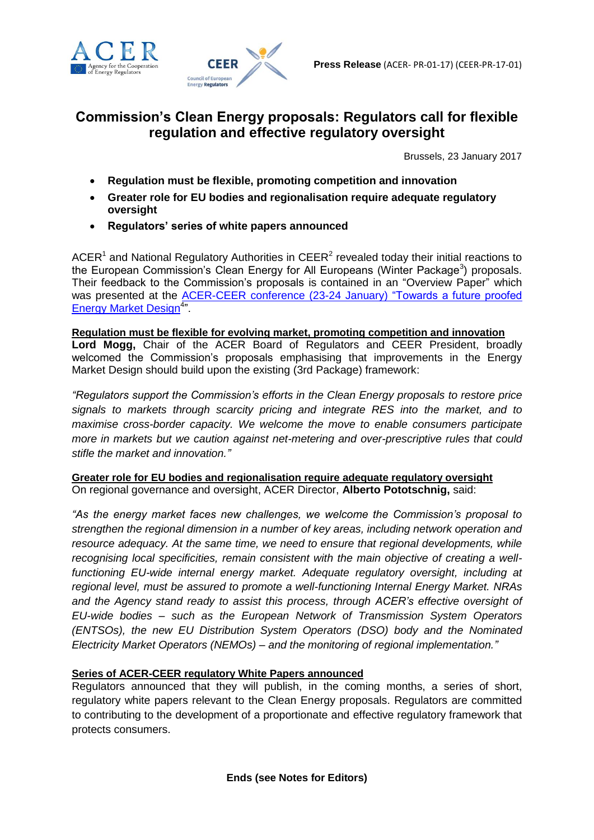



## **Commission's Clean Energy proposals: Regulators call for flexible regulation and effective regulatory oversight**

Brussels, 23 January 2017

- **Regulation must be flexible, promoting competition and innovation**
- **Greater role for EU bodies and regionalisation require adequate regulatory oversight**
- **Regulators' series of white papers announced**

ACER<sup>1</sup> and National Regulatory Authorities in CEER<sup>2</sup> revealed today their initial reactions to the European Commission's Clean Energy for All Europeans (Winter Package<sup>3</sup>) proposals. Their feedback to the Commission's proposals is contained in an "Overview Paper" which was presented at the [ACER-CEER conference \(23-24 January\) "Towards a future proofed](http://www.ceer.eu/portal/page/portal/EER_HOME/EER_WORKSHOP/CEER-ERGEG%20EVENTS/CROSS_SECTORAL/ACER-CEER_Conference_2017)  [Energy Market Design](http://www.ceer.eu/portal/page/portal/EER_HOME/EER_WORKSHOP/CEER-ERGEG%20EVENTS/CROSS_SECTORAL/ACER-CEER_Conference_2017)<sup>4</sup>"

**Regulation must be flexible for evolving market, promoting competition and innovation Lord Mogg,** Chair of the ACER Board of Regulators and CEER President, broadly welcomed the Commission's proposals emphasising that improvements in the Energy Market Design should build upon the existing (3rd Package) framework:

*"Regulators support the Commission's efforts in the Clean Energy proposals to restore price signals to markets through scarcity pricing and integrate RES into the market, and to maximise cross-border capacity. We welcome the move to enable consumers participate more in markets but we caution against net-metering and over-prescriptive rules that could stifle the market and innovation."*

## **Greater role for EU bodies and regionalisation require adequate regulatory oversight** On regional governance and oversight, ACER Director, **Alberto Pototschnig,** said:

*"As the energy market faces new challenges, we welcome the Commission's proposal to strengthen the regional dimension in a number of key areas, including network operation and resource adequacy. At the same time, we need to ensure that regional developments, while recognising local specificities, remain consistent with the main objective of creating a wellfunctioning EU-wide internal energy market. Adequate regulatory oversight, including at regional level, must be assured to promote a well-functioning Internal Energy Market. NRAs and the Agency stand ready to assist this process, through ACER's effective oversight of EU-wide bodies – such as the European Network of Transmission System Operators (ENTSOs), the new EU Distribution System Operators (DSO) body and the Nominated Electricity Market Operators (NEMOs) – and the monitoring of regional implementation."*

## **Series of ACER-CEER regulatory White Papers announced**

Regulators announced that they will publish, in the coming months, a series of short, regulatory white papers relevant to the Clean Energy proposals. Regulators are committed to contributing to the development of a proportionate and effective regulatory framework that protects consumers.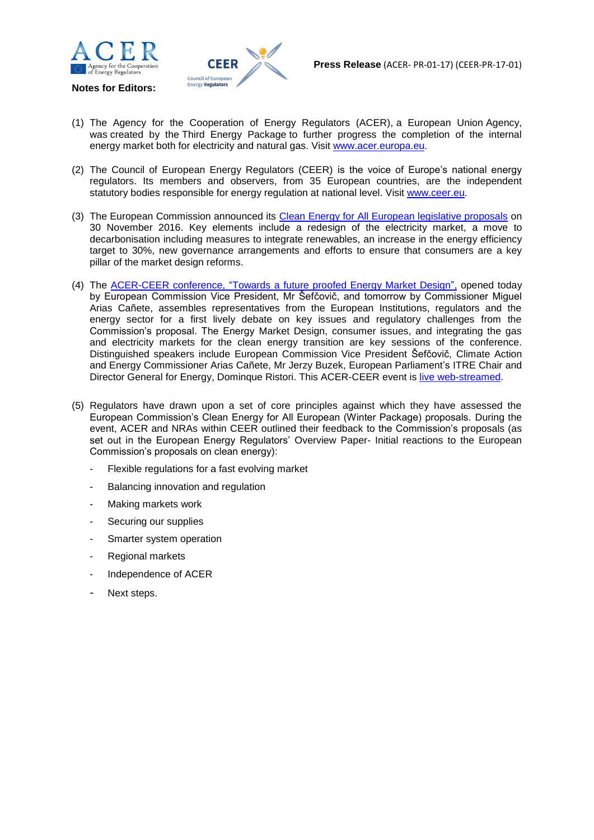

**Notes for Editors:**



- (1) The Agency for the Cooperation of Energy Regulators (ACER), a European Union Agency, was created by the [Third Energy Package](http://www.acer.europa.eu/en/the_eu_energy_market/Legislation) to further progress the completion of the internal energy market both for [electricity](http://www.acer.europa.eu/en/Electricity) and [natural gas.](http://www.acer.europa.eu/en/Gas) Visit [www.acer.europa.eu.](http://www.acer.europa.eu/)
- (2) The Council of European Energy Regulators (CEER) is the voice of Europe's national energy regulators. Its members and observers, from 35 European countries, are the independent statutory bodies responsible for energy regulation at national level. Visit [www.ceer.eu](http://www.ceer.eu/).
- (3) The European Commission announced its [Clean Energy for All European legislative proposals](https://ec.europa.eu/energy/en/news/commission-proposes-new-rules-consumer-centred-clean-energy-transition) on 30 November 2016. Key elements include a redesign of the electricity market, a move to decarbonisation including measures to integrate renewables, an increase in the energy efficiency target to 30%, new governance arrangements and efforts to ensure that consumers are a key pillar of the market design reforms.
- (4) The ACER-CEER conference, ["Towards a future proofed Energy Market Design"](http://www.ceer.eu/portal/page/portal/EER_HOME/EER_WORKSHOP/CEER-ERGEG%20EVENTS/CROSS_SECTORAL/ACER-CEER_Conference_2017), opened today by European Commission Vice President, Mr Šefčovič, and tomorrow by Commissioner Miguel Arias Cañete, assembles representatives from the European Institutions, regulators and the energy sector for a first lively debate on key issues and regulatory challenges from the Commission's proposal. The Energy Market Design, consumer issues, and integrating the gas and electricity markets for the clean energy transition are key sessions of the conference. Distinguished speakers include European Commission Vice President Šefčovič, Climate Action and Energy Commissioner Arias Cañete, Mr Jerzy Buzek, European Parliament's ITRE Chair and Director General for Energy, Dominque Ristori. This ACER-CEER event is live web-streamed.
- (5) Regulators have drawn upon a set of core principles against which they have assessed the European Commission's Clean Energy for All European (Winter Package) proposals. During the event, ACER and NRAs within CEER outlined their feedback to the Commission's proposals (as set out in the European Energy Regulators' Overview Paper- Initial reactions to the European Commission's proposals on clean energy):
	- Flexible regulations for a fast evolving market
	- Balancing innovation and regulation
	- Making markets work
	- Securing our supplies
	- Smarter system operation
	- Regional markets
	- Independence of ACER
	- Next steps.